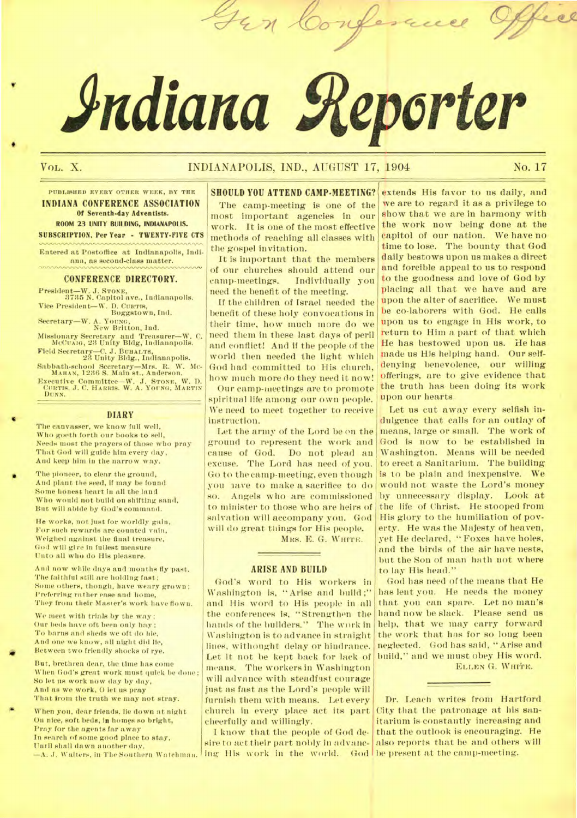# **Adiana geporter**

**-A" z** 

# VOL. X. INDIANAPOLIS, IND., AUGUST 17, 1904 No. **17**

**PUBLISHED EVERY OTHER WEEK, BY THE INDIANA CONFERENCE ASSOCIATION Of Seventh-day Adventists. ROOM 23 UNITY BUILDING, INDIANAPOLIS. SUBSCRIPTION. Per Year - TWENTY-FIVE CTS** 

Entered at Postoffice at Indianapolis, Indiana, as second-class matter.

### **CONFERENCE DIRECTORY.**

President—W..1. **STONE,**  3735 N. Capitol ave., Indianapolis. Vice President--W. D. **CURTIS,**  Boggstown, Ind. Secretary—W. A. **YOUNG,**  New Britton, Ind.

Missionary Secretary and Treasurer—W. C. MeCumo, 23 Unity Bldg, Indianapolis. Field Secretary—C. J. **BUHALTS,**  23 Unity Bldg., Indianapolis.

Sabbath-school Secretary—Mrs. R. W. Mc-MAHAN, 1286 S. Main st., Anderson. Executive Committee—W. J. **STONE, W.** D. **CURTIS,** J. C. **HARRIS.** W. A. **YOUNG, MARTIN** 

**DUNN.** 

# DIARY

The canvasser, we know full well, Who goeth forth our books to sell, Needs most the prayers of those who pray That God will guide him every day, And keep him in the narrow way.

The pioneer, to clear the ground, And plant the seed, If may be found Some honest heart in all the land Who would not build on shifting sand, But will abide by God's command.

He works, not just for worldly *gain,*  For such rewards are counted vain, Weighed against the final treasure, God will give in fullest measure Unto all who do His pleasure.

And now while days and months fly past. The faithful still are holding fast; Some others, though, have weary grown ; Preferring rather ease and home, They from their Master's work have flown.

We meet with trials by the way: Our beds have oft been only hay; To barns and sheds we oft do hie, And one we know, all night did lie, Between two friendly shocks of rye.

But, brethren dear, the time has come When God's great work must quick be done; So let us work now day by day, And as we work, 0 let us pray That from the truth we may not stray.

When you, dear friends, lie down at night On nice, soft beds, in homes so bright, Pray for the agents far away In search of some good place to stay, Until shall dawn another day.

**SHOULD YOU ATTEND CAMP-MEETING?**  The camp-meeting is one of the most important agencies in our work. It is one of the most effective methods of reaching all classes with the gospel invitation.

It is important that the members of our churches should attend our camp-meetings. Individually you need the benefit of the meeting.

H the children of Israel needed the benefit of these holy convocations in their time, how much more do we need them in these last days of peril and conflict! And if the people of the world then needed the light which God had committed to His church, how much more do they need it now!

Our camp-meetings are to promote spiritual life among our own people. We need to meet together to receive instruction.

Let the army of the Lord be on the ground to represent the work and cause of God. Do not plead an excuse. The Lord has need of you. Go to the camp-meeting, even though you nave to make a sacrifice to do so. Angels who are commissioned to minister to those who are heirs of salvation will accompany you. God will do great things for His people.

**MRS. E. G. WHITE.** 

# **ARISE AND BUILD**

God's word to His workers in Washington is, "Arise and build;" and His word to His people in all the conferences is, "Strengthen the hands of the builders." The work in Washington is to advance in straight lines, withought delay or hindrance. Let it not be kept back for lack of means. The workers in Washington will advance with steadfast courage just as fast as the Lord's people will furnish them with means. Let every church in every place act its part cheerfully and willingly.

—A. *J.* Walters, In The Southern Watchman. ing His work in the world. God <sup>I</sup> I know that the people of God desire to act their part nobly in advanc-

extends His favor to us daily, and we are to regard it as a privilege to show that we are in harmony with the work now being done at the capitol of our nation. We have no time to lose. The bounty that God daily bestows upon us makes a direct and forcible appeal to us to respond to the goodness and love of God by placing all that we have and are upon the alter of sacrifice. We must be co-laborers with God. He calls upon us to engage in His work, to return to Him a part of that which He has bestowed upon us. He has made us His helping hand. Our selfdenying benevolence, our willing offerings, are to *give* evidence that the truth has been doing its work upon our hearts.

Let us cut away every selfish indulgence that calls for an outlay of means, large or small. The work of God is now to be established in Washington. Means will be needed to erect a Sanitarium. The building is to be plain and inexpensive. We would not waste the Lord's money by unnecessary display. Look at the life of Christ. He stooped from His glory to the humiliation of poverty. He was the Majesty of heaven, yet He declared, "Foxes have holes, and the birds of the air have nests, but the Son of man bath not where to lay His head."

God has need of the means that He has lent you. He needs the money that you can spare. Let no man's hand now be slack. Please send us help, that we may carry forward the work that has for so long been neglected. God has said, "Arise and build," and we must obey His word.

**ELLEN** G. **WHITE.** 

Dr. Leach writes from Hartford City that the patronage at his sanitarium is constantly increasing and that the outlook is encouraging. He also reports that he and others will be present at the camp-meeting.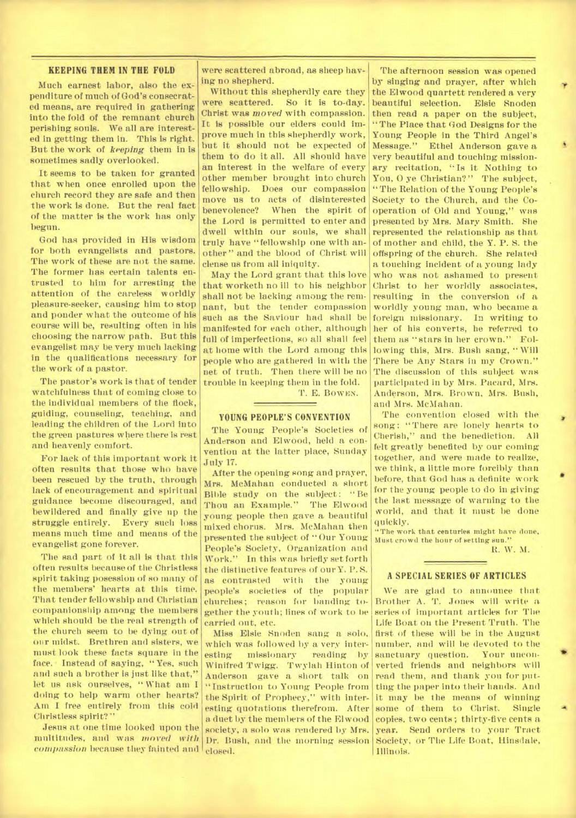### KEEPING THEM IN THE FOLD

Much earnest labor, also the expenditure of much of God's consecrated means, are required in gathering into the fold of the remnant church perishing souls. We all are interested in getting them in. This is right. But the work of *keeping* them in is sometimes sadly overlooked.

It seems to be taken for granted that when once enrolled upon the church record they are safe and then the work is done. But the real fact of the matter is the work has only begun.

God has provided in His wisdom for both evangelists and pastors. The work of these are not the same. The former has certain talents entrusted to him for arresting the attention of the careless worldly pleasure-seeker, causing him to stop and ponder what the outcome of his course will be, resulting often in his choosing the narrow path. But this evangelist may be very much lacking in the qualifications necessary for the work of a pastor.

The pastor's work is that of tender watchfulness that of coming close to the individual members of the flock, guiding, counseling, teaching, and leading the children of the Lord into the green pastures where there is rest and heavenly comfort.

For lack of this important work it often results that those who have been rescued by the truth, through lack of encouragement and spiritual guidance become discouraged, and bewildered and finally give up the struggle entirely. Every such loss means much time and means of the evangelist gone forever.

The sad part of it all is that this often results because of the Christless spirit taking posession of so many of the members' hearts at this time. That tender fellowship and Christian companionship among the members which should be the real strength of the church seem to be dying out of our midst. Brethren and sisters, we must look these facts square in the face. Instead of saying, "Yes, such and such a brother is just like that," let us ask ourselves, " What am I doing to help warm other hearts? Am I free entirely from this cold Christless spirit?"

Jesus at one time looked upon the multitudes, and was *moved with compassion* because they fainted and closed.

were scattered abroad, as sheep having no shepherd.

Without this shepherdly care they were scattered. So it is to-day. Christ was *moved* with compassion. It is possible our elders could improve much in this shepherdly work, but it should not be expected of them to do it all. All should have an interest in the welfare of every other member brought into church fellowship. Does our compassion move us to acts of disinterested benevolence? When the spirit of the Lord is permitted to enter and dwell within our souls, we shall truly have "fellowship one with another" and the blood of Christ will dense us from all iniquity.

May the Lord grant that this love that worketh no ill to his neighbor shall not be lacking among the remnant, but the tender compassion such as the Saviour had shall be manifested for each other, although full of imperfections, so all shall feel at home with the Lord among this people who are gathered in with the net of truth. Then there will be no trouble in keeping them in the fold.

T. E. BOWEN.

# **YOUNG PEOPLE'S CONVENTION**

The Young People's Societies of Anderson and Elwood, held a convention at the latter place, Sunday July 17.

After the opening song and prayer, Mrs. McMahan conducted a short Bible study on the subject: "Be Thou an Example." The Elwood young people then gave a beautiful mixed chorus. Mrs. McMahan then presented the subject of "Our Young People's Society, Organization and Work." In this was briefly set forth the distinctive features of our Y. P. S. as contrasted with the young people's societies of the popular churches; reason for banding together the youth; lines of work to be carried out, etc.

Miss Elsie Snoden sang a solo, which was followed by a very interesting missionary reading by Winifred Twigg. Twylah Hinton of Anderson gave a short talk on "Instruction to Young People from the Spirit of Prophecy," with interesting quotations therefrom. After a duet by the members of the Elwood society, a solo was rendered by Mrs. Dr. Bush, and the morning session

The afternoon session was opened by singing and prayer, after which the Elwood quartett rendered a very beautiful selection. Elsie Snoden then read a paper on the subject, "The Place that God Designs for the Young People in the Third Angel's Message." Ethel Anderson gave a very beautiful and touching missionary recitation, "Is it Nothing to You, O ye Christian?" The subject, "The Relation of the Young People's Society to the Church, and the Cooperation of Old and Young," was presented by Mrs. Mary Smith. She represented the relationship as that of mother and child, the Y. P. S. the offspring of the church. She related a touching incident of a young lady who was not ashamed to present Christ to her worldly associates, resulting in the conversion of a worldly young man, who became a foreign missionary. In writing to her of his converts, he referred to them as "stars in her crown." Following this, Mrs. Bush sang, "Will There be Any Stars in my Crown." The discussion of this subject was participated in by Mrs. Pacard, Mrs. Anderson, Mrs. Brown, Mrs. Bush, and Mrs. McMahan.

The convention closed with the song: "There are lonely hearts to Cherish," and the benediction. All felt greatly benefited by our coming together, and were made to realize, we think, a little more forcibly than before, that God has a definite work for the young people to do in giving the last message of warning to the world, and that it must be done quickly.

"The work that centuries might have done, Must crowd the hour of setting sun."

*R. W.* M.

### **A SPECIAL SERIES OF ARTICLES**

We are glad to announce that Brother A. T. Jones will write a series of important articles for The Life Boat on the Present Truth. The first of these will be in the August number, and will be devoted to the<br>sanctuary question. Your unconsanctuary question. verted friends and neighbors will read them, and thank you for putting the paper into their hands. And it may be the means of winning some of them to Christ. Single copies, two cents; thirty-five cents a year. Send orders to your Tract Society, or The Life Boat, Hinsdale, Illinois.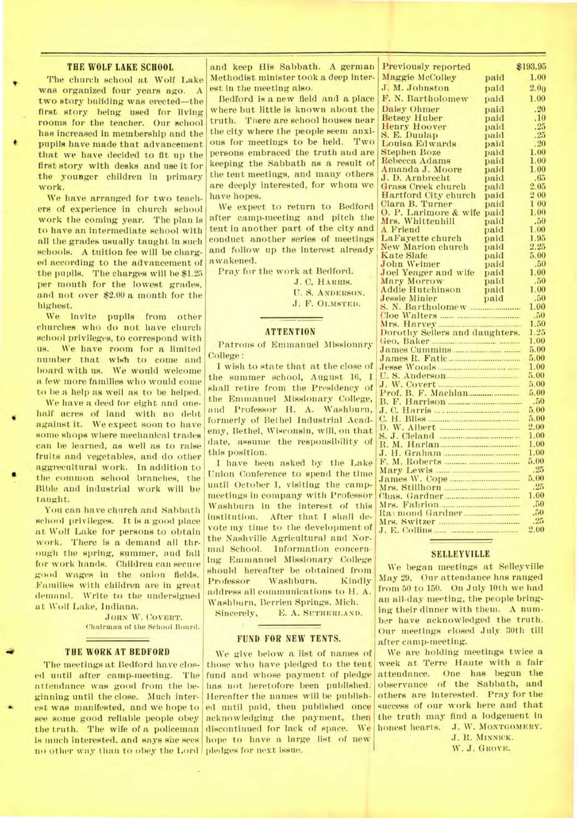# **THE WOLF LAKE SCHOOL**

The church school at Wolf Lake was organized tour years ago. A two story building was erected-the first story being used for living rooms for the teacher. Our school has increased in membership and the pupils have made that advancement that we have decided to fit up the first story with desks and use it for the younger children in primary work.

We have arranged for two teachers of experience in church school work the coming year. The plan is to have an intermediate school with all the grades usually taught in such schools. A tuition fee will be charged according to the advancement of the pupils. The charges will be \$1.25 per month for the lowest grades, and not over \$2.00 a month for the highest.

We invite pupils from other churches who do not have church school privileges, to correspond with us. We have room for a limited number that wish to come and board with us. We would welcome a few more families who would come to be a help as well as to be helped.

We have a deed for eight and onehalf acres of land with no debt against it. We expect soon to have some shops where mechanical trades can be learned, as well as to raise fruits and vegetables, and do other aggrecultural work. In addition to the common school branches, the Bible and industrial work will be taught.

You can have church and Sabbath school privileges. It is a good place at Wolf Lake for persons to obtain work. There is a demand all through the spring, summer, and fall for work hands. Children can secure good wages in the onion fields. Families with children are in great demand. Write to the undersigned at Wolf Lake, Indiana.

> JOHN W. COVERT. Chairman of the School Board.

### **THE WORK AT BEDFORD**

The meetings at Bedford have closed until after camp-meeting. The attendance was good from the beginning until the close. Much interest was manifested, and we hope to see some good reliable people obey the truth. The wife of a policeman is much interested. and says she sees no other way than to obey the Lord pledges for next issue.

and keep His Sabbath. A german Methodist minister took a deep interest in the meeting also.

Bedford is a new field and a place where but little is known about the truth. There are school houses near the city where the people seem anxious for meetings to be held. Two persons embraced' the truth and are keeping the Sabbath as a result of the tent meetings, and many others are deeply interested, for whom we have hopes.

We expect to return to Bedford after camp-meeting and pitch the tent in another part of the city and conduct another series of meetings and follow up the interest already awakened.

Pray for the work at Bedford.

J. C. HARRIS.

U. S. ANDERSON. J. F. OLMSTED.

# **ATTENTION**

Patrons of Emmanuel Missionary College:

I wish to state that at the close of the summer school, August 16, I shall retire from the Presidency of the Emmanuel Missionary College, and Professor H. A. Washburn, formerly of Bethel Industrial Academy, Bethel, Wisconsin, will, on that date, assume the responsibility of this position.

I have been asked by the Lake Union Conference to spend the time until October 1, visiting the campmeetings in company with Professor Washburn in the interest of this institution. After that I shall devote my time to the development of the Nashville Agricultural and Normal School. Information concerning Emmanuel Missionary College should hereafter be obtained from Professor Washburn. Kindly address all communications to H. A. Washburn, Berrien Springs, Mich.

E. A. SUTHERLAND.

## **FUND FOR NEW** TENTS.

We give below a list of names of those who have pledged to the tent fund and whose payment of pledge has not heretofore been published. Hereafter the names will be published until paid, then published once acknowledging the payment, then discontinued for lack of space. We hope to have a large list of new

| <b>Previously reported</b>     |              | \$193.95     |
|--------------------------------|--------------|--------------|
| Maggie McColley                | paid         | 1.00         |
| J. M. Johnston                 | paid         | 2.00         |
| F. N. Bartholomew              |              | 1.00         |
|                                | paid         |              |
| Daisy Ohmer                    | paid         | .20          |
| <b>Betsey Huber</b>            | paid         | .10          |
| <b>Henry Hoover</b>            | paid         | .25<br>.25   |
| S. E. Dunlap<br>Louisa Edwards | paid<br>paid | .20          |
| <b>Stephen Boze</b>            | paid         | 1.00         |
| Rebecca Adams                  | paid         | 1.00         |
| Amanda J. Moore                | paid         | 1.00         |
| J. D. Arnbrecht                | paid         | .65          |
| Grass Creek church             | paid         | 2.05         |
| <b>Hartford City church</b>    | paid         | $2\;00$      |
| Clara B. Turner                | paid         | 100          |
| O. P. Larimore & wife          | paid         | 1.00         |
| Mrs. Whittenhill               | paid         | .50          |
| A Friend                       | paid         | 1.00         |
| La Fayette church              | paid         | 1.95         |
| New Marion church              | paid         | $2.25\,$     |
| <b>Kate Slafe</b>              | paid         | 5.00         |
| <b>John Weimer</b>             | paid         | .50          |
| Joel Yeager and wife           | paid         | 1.00         |
| Mary Morrow                    | paid         | .50          |
| <b>Addie Hutchinson</b>        | paid         | 1.00         |
| <b>Jessie Minier</b>           | paid         | .50          |
|                                |              | 1.00         |
|                                |              | .50          |
| Mrs. Harvey                    |              | 1.50         |
| Dorothy Sellers and daughters. |              | 1.25         |
|                                |              | 1.00<br>5,00 |
|                                |              | 5.00         |
|                                | 1.00         |              |
|                                | $5.00\,$     |              |
|                                |              | 5.00         |
| Prof. B. F. Machlan            |              | 5.00         |
|                                |              | .50          |
|                                |              | 5.00         |
|                                |              | 5.00         |
|                                |              | $2.00\,$     |
|                                |              | 1.00         |
| R. M. Harlan                   |              | 1.00         |
|                                |              | 1.00         |
|                                |              | $5.00\,$     |
|                                |              | .25          |
|                                |              | 5.00         |
|                                |              | .25          |
| Chas. Gardner                  |              | 1.00         |
| Mrs.                           |              | .50          |
|                                |              | .50          |
|                                |              |              |
|                                |              | .25<br>2.00  |

# **SELLEYVILLE**

We began meetings at Selleyville May 29. Our attendance has ranged from 50 to 150. On July 10th we had an all-day meeting, the people bringing their dinner with them. A number have acknowledged the truth. Our meetings closed July 30th till after camp-meeting.

We are holding meetings twice a week at Terre Haute with a fair attendance. One has begun the observance of the Sabbath, and others are interested. Pray for the success of our work here and that the truth may find a lodgement in honest hearts. J. W. MONTGOMERY.

> J. R. MINNICK. W. J. GROVE.